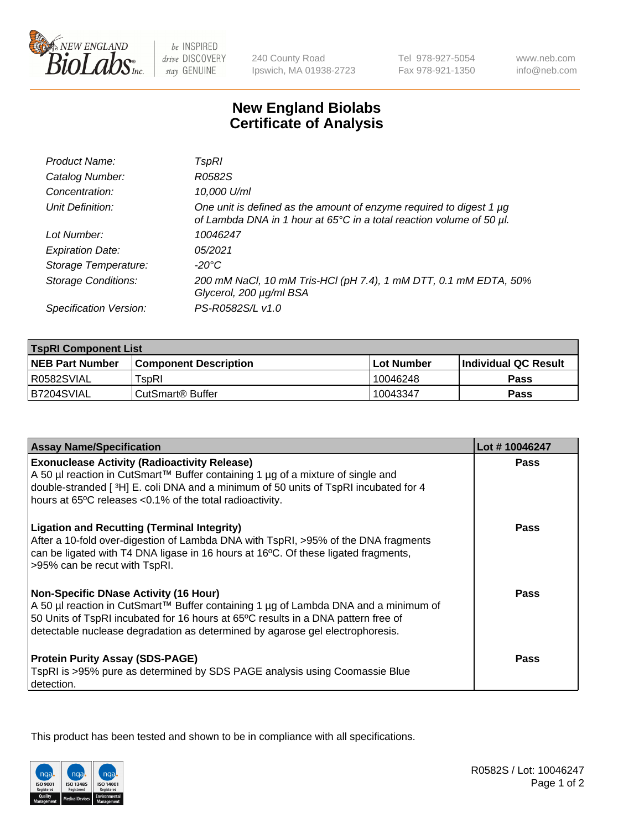

 $be$  INSPIRED drive DISCOVERY stay GENUINE

240 County Road Ipswich, MA 01938-2723 Tel 978-927-5054 Fax 978-921-1350

www.neb.com info@neb.com

## **New England Biolabs Certificate of Analysis**

| Product Name:              | TspRI                                                                                                                                       |
|----------------------------|---------------------------------------------------------------------------------------------------------------------------------------------|
| Catalog Number:            | R0582S                                                                                                                                      |
| Concentration:             | 10,000 U/ml                                                                                                                                 |
| Unit Definition:           | One unit is defined as the amount of enzyme required to digest 1 µg<br>of Lambda DNA in 1 hour at 65°C in a total reaction volume of 50 µl. |
| Lot Number:                | 10046247                                                                                                                                    |
| <b>Expiration Date:</b>    | 05/2021                                                                                                                                     |
| Storage Temperature:       | -20°C                                                                                                                                       |
| <b>Storage Conditions:</b> | 200 mM NaCl, 10 mM Tris-HCl (pH 7.4), 1 mM DTT, 0.1 mM EDTA, 50%<br>Glycerol, 200 µg/ml BSA                                                 |
| Specification Version:     | PS-R0582S/L v1.0                                                                                                                            |

| <b>TspRI Component List</b> |                               |              |                       |  |
|-----------------------------|-------------------------------|--------------|-----------------------|--|
| <b>NEB Part Number</b>      | <b>Component Description</b>  | l Lot Number | ∣Individual QC Result |  |
| R0582SVIAL                  | $\mathsf{r}_{\mathsf{SDR}}$ l | 10046248     | Pass                  |  |
| IB7204SVIAL                 | CutSmart <sup>®</sup> Buffer  | 10043347     | Pass                  |  |

| <b>Assay Name/Specification</b>                                                                                                                                                                                                                                                                           | Lot #10046247 |
|-----------------------------------------------------------------------------------------------------------------------------------------------------------------------------------------------------------------------------------------------------------------------------------------------------------|---------------|
| <b>Exonuclease Activity (Radioactivity Release)</b><br>A 50 µl reaction in CutSmart™ Buffer containing 1 µg of a mixture of single and<br>double-stranded [ $3H$ ] E. coli DNA and a minimum of 50 units of TspRI incubated for 4                                                                         | <b>Pass</b>   |
| hours at 65°C releases <0.1% of the total radioactivity.                                                                                                                                                                                                                                                  |               |
| <b>Ligation and Recutting (Terminal Integrity)</b><br>After a 10-fold over-digestion of Lambda DNA with TspRI, >95% of the DNA fragments<br>can be ligated with T4 DNA ligase in 16 hours at 16°C. Of these ligated fragments,<br>>95% can be recut with TspRI.                                           | Pass          |
| <b>Non-Specific DNase Activity (16 Hour)</b><br>A 50 µl reaction in CutSmart™ Buffer containing 1 µg of Lambda DNA and a minimum of<br>50 Units of TspRI incubated for 16 hours at 65°C results in a DNA pattern free of<br>detectable nuclease degradation as determined by agarose gel electrophoresis. | <b>Pass</b>   |
| <b>Protein Purity Assay (SDS-PAGE)</b><br>TspRI is >95% pure as determined by SDS PAGE analysis using Coomassie Blue<br>detection.                                                                                                                                                                        | <b>Pass</b>   |

This product has been tested and shown to be in compliance with all specifications.